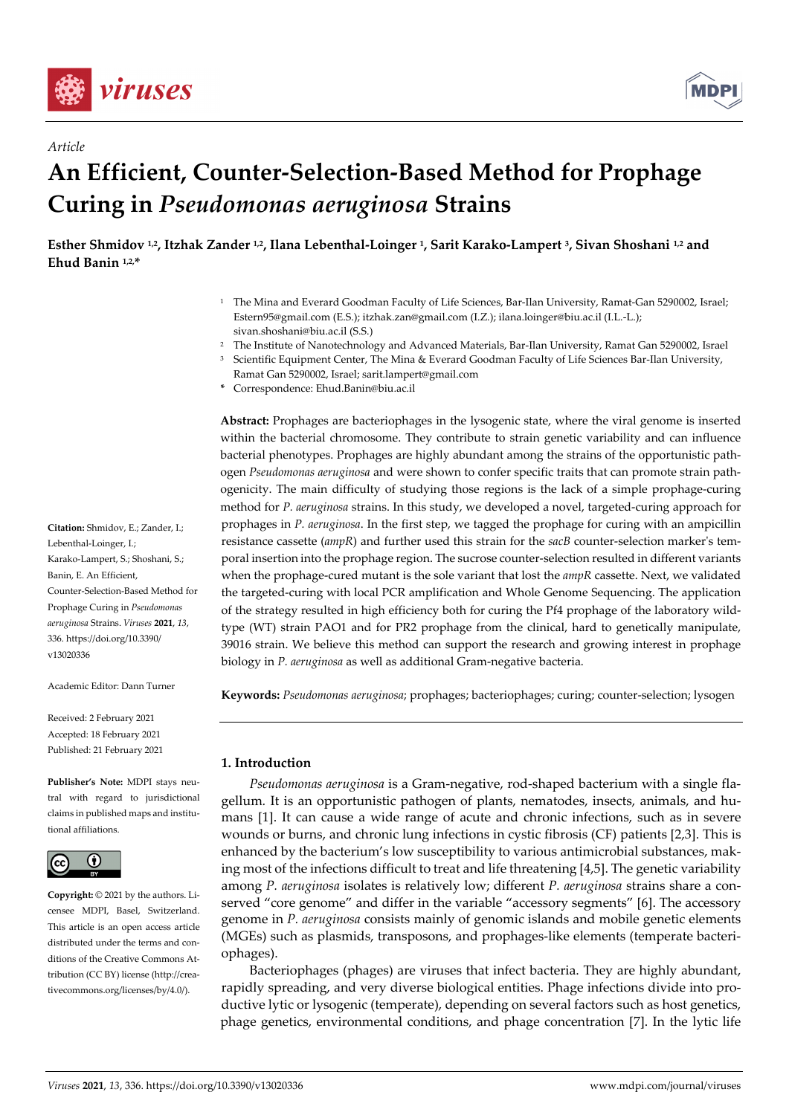

*Article* 



# **An Efficient, Counter-Selection-Based Method for Prophage Curing in** *Pseudomonas aeruginosa* **Strains**

**Esther Shmidov 1,2, Itzhak Zander 1,2, Ilana Lebenthal-Loinger 1, Sarit Karako-Lampert 3, Sivan Shoshani 1,2 and Ehud Banin 1,2,\*** 

- 1 The Mina and Everard Goodman Faculty of Life Sciences, Bar-Ilan University, Ramat-Gan 5290002, Israel; Estern95@gmail.com (E.S.); itzhak.zan@gmail.com (I.Z.); ilana.loinger@biu.ac.il (I.L.-L.); sivan.shoshani@biu.ac.il (S.S.)
- 2 The Institute of Nanotechnology and Advanced Materials, Bar-Ilan University, Ramat Gan 5290002, Israel
- 3 Scientific Equipment Center, The Mina & Everard Goodman Faculty of Life Sciences Bar-Ilan University,
- Ramat Gan 5290002, Israel; sarit.lampert@gmail.com
- **\*** Correspondence: Ehud.Banin@biu.ac.il

**Abstract:** Prophages are bacteriophages in the lysogenic state, where the viral genome is inserted within the bacterial chromosome. They contribute to strain genetic variability and can influence bacterial phenotypes. Prophages are highly abundant among the strains of the opportunistic pathogen *Pseudomonas aeruginosa* and were shown to confer specific traits that can promote strain pathogenicity. The main difficulty of studying those regions is the lack of a simple prophage-curing method for *P. aeruginosa* strains. In this study, we developed a novel, targeted-curing approach for prophages in *P. aeruginosa*. In the first step, we tagged the prophage for curing with an ampicillin resistance cassette (*ampR*) and further used this strain for the *sacB* counter-selection marker's temporal insertion into the prophage region. The sucrose counter-selection resulted in different variants when the prophage-cured mutant is the sole variant that lost the *ampR* cassette. Next, we validated the targeted-curing with local PCR amplification and Whole Genome Sequencing. The application of the strategy resulted in high efficiency both for curing the Pf4 prophage of the laboratory wildtype (WT) strain PAO1 and for PR2 prophage from the clinical, hard to genetically manipulate, 39016 strain. We believe this method can support the research and growing interest in prophage biology in *P. aeruginosa* as well as additional Gram-negative bacteria.

**Keywords:** *Pseudomonas aeruginosa*; prophages; bacteriophages; curing; counter-selection; lysogen

# **1. Introduction**

*Pseudomonas aeruginosa* is a Gram-negative, rod-shaped bacterium with a single flagellum*.* It is an opportunistic pathogen of plants, nematodes, insects, animals, and humans [1]. It can cause a wide range of acute and chronic infections, such as in severe wounds or burns, and chronic lung infections in cystic fibrosis (CF) patients [2,3]. This is enhanced by the bacterium's low susceptibility to various antimicrobial substances, making most of the infections difficult to treat and life threatening [4,5]. The genetic variability among *P. aeruginosa* isolates is relatively low; different *P. aeruginosa* strains share a conserved "core genome" and differ in the variable "accessory segments" [6]. The accessory genome in *P. aeruginosa* consists mainly of genomic islands and mobile genetic elements (MGEs) such as plasmids, transposons, and prophages-like elements (temperate bacteriophages).

Bacteriophages (phages) are viruses that infect bacteria. They are highly abundant, rapidly spreading, and very diverse biological entities. Phage infections divide into productive lytic or lysogenic (temperate), depending on several factors such as host genetics, phage genetics, environmental conditions, and phage concentration [7]. In the lytic life

**Citation:** Shmidov, E.; Zander, I.; Lebenthal-Loinger, I.; Karako-Lampert, S.; Shoshani, S.; Banin, E. An Efficient, Counter-Selection-Based Method for Prophage Curing in *Pseudomonas aeruginosa* Strains. *Viruses* **2021**, *13*, 336. https://doi.org/10.3390/ v13020336

Academic Editor: Dann Turner

Received: 2 February 2021 Accepted: 18 February 2021 Published: 21 February 2021

**Publisher's Note:** MDPI stays neutral with regard to jurisdictional claims in published maps and institutional affiliations.



**Copyright:** © 2021 by the authors. Licensee MDPI, Basel, Switzerland. This article is an open access article distributed under the terms and conditions of the Creative Commons Attribution (CC BY) license (http://creativecommons.org/licenses/by/4.0/).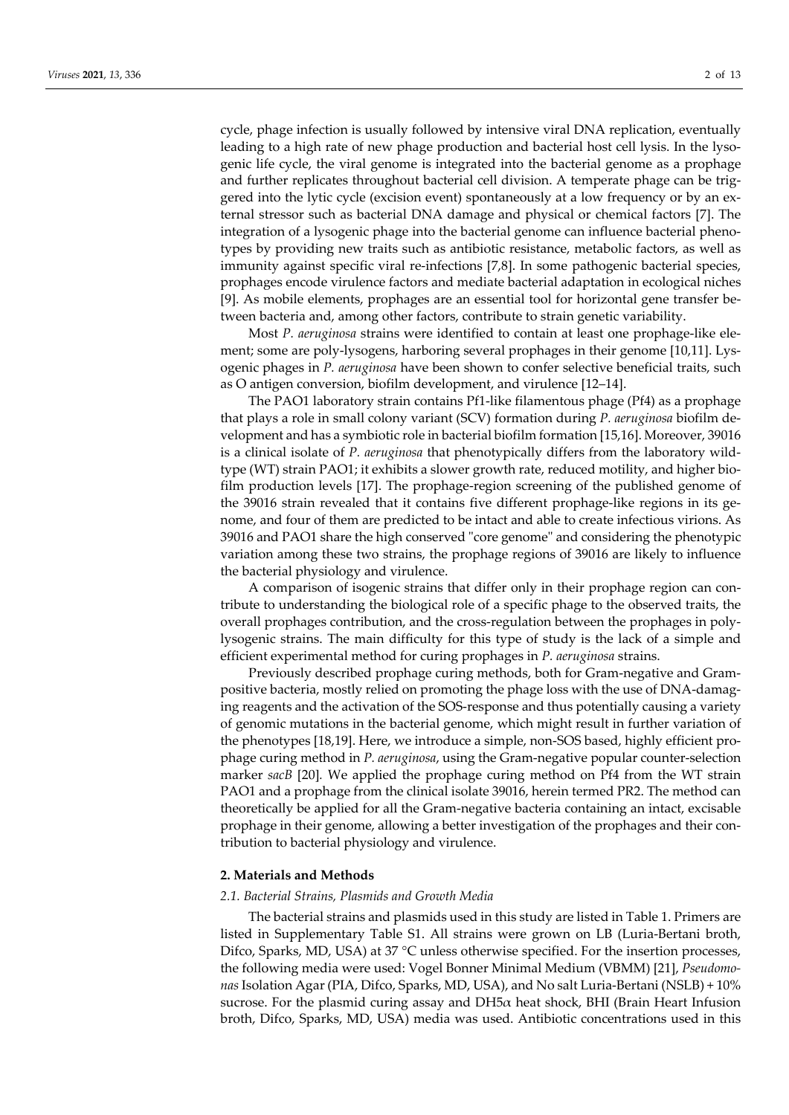cycle, phage infection is usually followed by intensive viral DNA replication, eventually leading to a high rate of new phage production and bacterial host cell lysis. In the lysogenic life cycle, the viral genome is integrated into the bacterial genome as a prophage and further replicates throughout bacterial cell division. A temperate phage can be triggered into the lytic cycle (excision event) spontaneously at a low frequency or by an external stressor such as bacterial DNA damage and physical or chemical factors [7]. The integration of a lysogenic phage into the bacterial genome can influence bacterial phenotypes by providing new traits such as antibiotic resistance, metabolic factors, as well as immunity against specific viral re-infections [7,8]. In some pathogenic bacterial species, prophages encode virulence factors and mediate bacterial adaptation in ecological niches [9]. As mobile elements, prophages are an essential tool for horizontal gene transfer between bacteria and, among other factors, contribute to strain genetic variability.

Most *P. aeruginosa* strains were identified to contain at least one prophage-like element; some are poly-lysogens, harboring several prophages in their genome [10,11]. Lysogenic phages in *P. aeruginosa* have been shown to confer selective beneficial traits, such as O antigen conversion, biofilm development, and virulence [12–14].

The PAO1 laboratory strain contains Pf1-like filamentous phage (Pf4) as a prophage that plays a role in small colony variant (SCV) formation during *P. aeruginosa* biofilm development and has a symbiotic role in bacterial biofilm formation [15,16]. Moreover, 39016 is a clinical isolate of *P. aeruginosa* that phenotypically differs from the laboratory wildtype (WT) strain PAO1; it exhibits a slower growth rate, reduced motility, and higher biofilm production levels [17]. The prophage-region screening of the published genome of the 39016 strain revealed that it contains five different prophage-like regions in its genome, and four of them are predicted to be intact and able to create infectious virions. As 39016 and PAO1 share the high conserved "core genome" and considering the phenotypic variation among these two strains, the prophage regions of 39016 are likely to influence the bacterial physiology and virulence.

A comparison of isogenic strains that differ only in their prophage region can contribute to understanding the biological role of a specific phage to the observed traits, the overall prophages contribution, and the cross-regulation between the prophages in polylysogenic strains. The main difficulty for this type of study is the lack of a simple and efficient experimental method for curing prophages in *P. aeruginosa* strains.

Previously described prophage curing methods, both for Gram-negative and Grampositive bacteria, mostly relied on promoting the phage loss with the use of DNA-damaging reagents and the activation of the SOS-response and thus potentially causing a variety of genomic mutations in the bacterial genome, which might result in further variation of the phenotypes [18,19]. Here, we introduce a simple, non-SOS based, highly efficient prophage curing method in *P. aeruginosa*, using the Gram-negative popular counter-selection marker *sacB* [20]*.* We applied the prophage curing method on Pf4 from the WT strain PAO1 and a prophage from the clinical isolate 39016, herein termed PR2. The method can theoretically be applied for all the Gram-negative bacteria containing an intact, excisable prophage in their genome, allowing a better investigation of the prophages and their contribution to bacterial physiology and virulence.

## **2. Materials and Methods**

#### *2.1. Bacterial Strains, Plasmids and Growth Media*

The bacterial strains and plasmids used in this study are listed in Table 1. Primers are listed in Supplementary Table S1. All strains were grown on LB (Luria-Bertani broth, Difco, Sparks, MD, USA) at 37 °C unless otherwise specified. For the insertion processes, the following media were used: Vogel Bonner Minimal Medium (VBMM) [21], *Pseudomonas* Isolation Agar (PIA, Difco, Sparks, MD, USA), and No salt Luria-Bertani (NSLB) + 10% sucrose. For the plasmid curing assay and  $DH5\alpha$  heat shock, BHI (Brain Heart Infusion broth, Difco, Sparks, MD, USA) media was used. Antibiotic concentrations used in this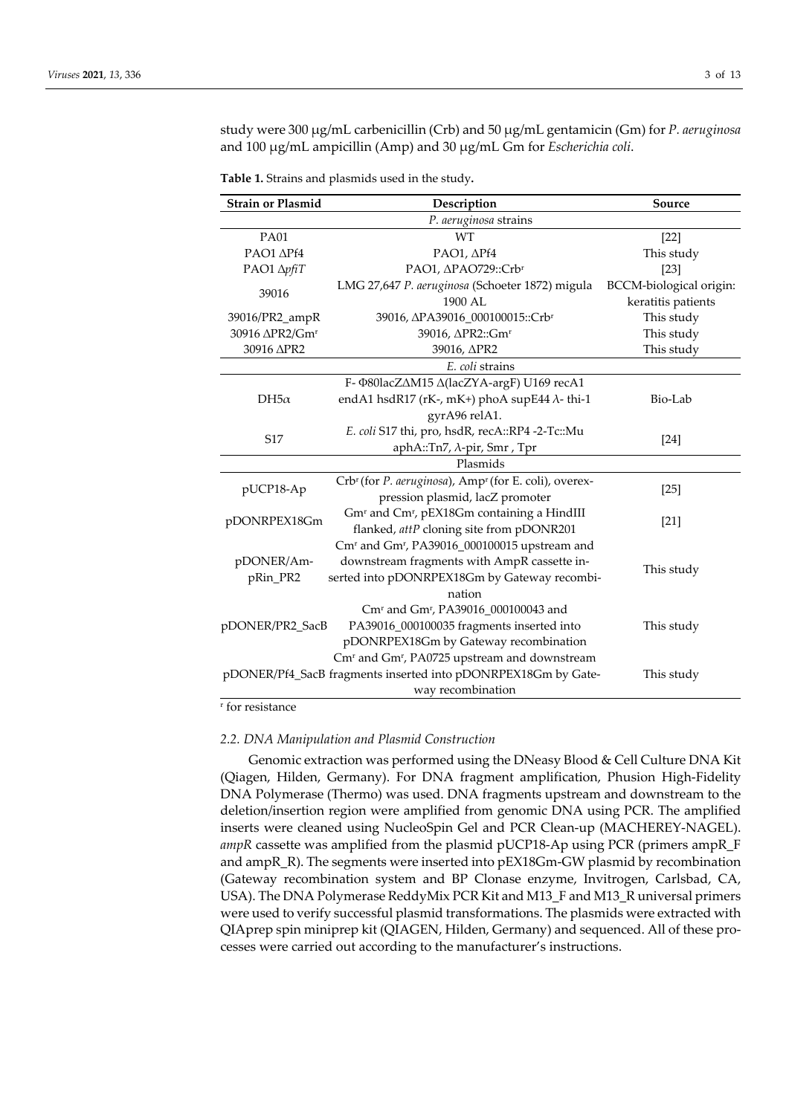study were 300 μg/mL carbenicillin (Crb) and 50 μg/mL gentamicin (Gm) for *P. aeruginosa* and 100 μg/mL ampicillin (Amp) and 30 μg/mL Gm for *Escherichia coli*.

| <b>Strain or Plasmid</b>                                                    | Description                                                                   | Source                  |
|-----------------------------------------------------------------------------|-------------------------------------------------------------------------------|-------------------------|
| P. aeruginosa strains                                                       |                                                                               |                         |
| <b>PA01</b>                                                                 | <b>WT</b>                                                                     | $[22]$                  |
| PAO1 APf4                                                                   | PAO1, APf4                                                                    | This study              |
| PAO1 ΔpfiT                                                                  | PAO1, APAO729::Crbr                                                           | $[23]$                  |
| 39016                                                                       | LMG 27,647 P. aeruginosa (Schoeter 1872) migula                               | BCCM-biological origin: |
|                                                                             | 1900 AL                                                                       | keratitis patients      |
| 39016/PR2_ampR                                                              | 39016, ΔPA39016_000100015::Crb <sup>r</sup>                                   | This study              |
| 30916 ΔPR2/Gm <sup>r</sup>                                                  | 39016, APR2::Gm <sup>r</sup>                                                  | This study              |
| 30916 APR2                                                                  | 39016, APR2                                                                   | This study              |
| E. coli strains                                                             |                                                                               |                         |
|                                                                             | F- Φ80lacZ∆M15 ∆(lacZYA-argF) U169 recA1                                      |                         |
| $DH5\alpha$                                                                 | endA1 hsdR17 (rK-, mK+) phoA supE44 $\lambda$ -thi-1                          | Bio-Lab                 |
|                                                                             | gyrA96 relA1.                                                                 |                         |
| S <sub>17</sub>                                                             | E. coli S17 thi, pro, hsdR, recA::RP4 -2-Tc::Mu                               | [24]                    |
|                                                                             | aphA::Tn7, λ-pir, Smr, Tpr                                                    |                         |
| Plasmids                                                                    |                                                                               |                         |
| pUCP18-Ap                                                                   | Crb <sup>r</sup> (for P. aeruginosa), Amp <sup>r</sup> (for E. coli), overex- | $[25]$                  |
|                                                                             | pression plasmid, lacZ promoter                                               |                         |
| pDONRPEX18Gm                                                                | Gm <sup>r</sup> and Cm <sup>r</sup> , pEX18Gm containing a HindIII            | $[21]$                  |
|                                                                             | flanked, attP cloning site from pDONR201                                      |                         |
|                                                                             | Cm <sup>r</sup> and Gm <sup>r</sup> , PA39016_000100015 upstream and          |                         |
| pDONER/Am-                                                                  | downstream fragments with AmpR cassette in-                                   | This study              |
| pRin_PR2                                                                    | serted into pDONRPEX18Gm by Gateway recombi-                                  |                         |
|                                                                             | nation                                                                        |                         |
|                                                                             | Cm <sup>r</sup> and Gm <sup>r</sup> , PA39016_000100043 and                   |                         |
| pDONER/PR2_SacB                                                             | PA39016_000100035 fragments inserted into                                     | This study              |
|                                                                             | pDONRPEX18Gm by Gateway recombination                                         |                         |
| Cm <sup>r</sup> and Gm <sup>r</sup> , PA0725 upstream and downstream        |                                                                               |                         |
| pDONER/Pf4_SacB fragments inserted into pDONRPEX18Gm by Gate-<br>This study |                                                                               |                         |
| way recombination                                                           |                                                                               |                         |

**Table 1.** Strains and plasmids used in the study**.** 

r for resistance

#### *2.2. DNA Manipulation and Plasmid Construction*

Genomic extraction was performed using the DNeasy Blood & Cell Culture DNA Kit (Qiagen, Hilden, Germany). For DNA fragment amplification, Phusion High-Fidelity DNA Polymerase (Thermo) was used. DNA fragments upstream and downstream to the deletion/insertion region were amplified from genomic DNA using PCR. The amplified inserts were cleaned using NucleoSpin Gel and PCR Clean-up (MACHEREY-NAGEL). *ampR* cassette was amplified from the plasmid pUCP18-Ap using PCR (primers ampR\_F and ampR\_R). The segments were inserted into pEX18Gm-GW plasmid by recombination (Gateway recombination system and BP Clonase enzyme, Invitrogen, Carlsbad, CA, USA). The DNA Polymerase ReddyMix PCR Kit and M13\_F and M13\_R universal primers were used to verify successful plasmid transformations. The plasmids were extracted with QIAprep spin miniprep kit (QIAGEN, Hilden, Germany) and sequenced. All of these processes were carried out according to the manufacturer's instructions.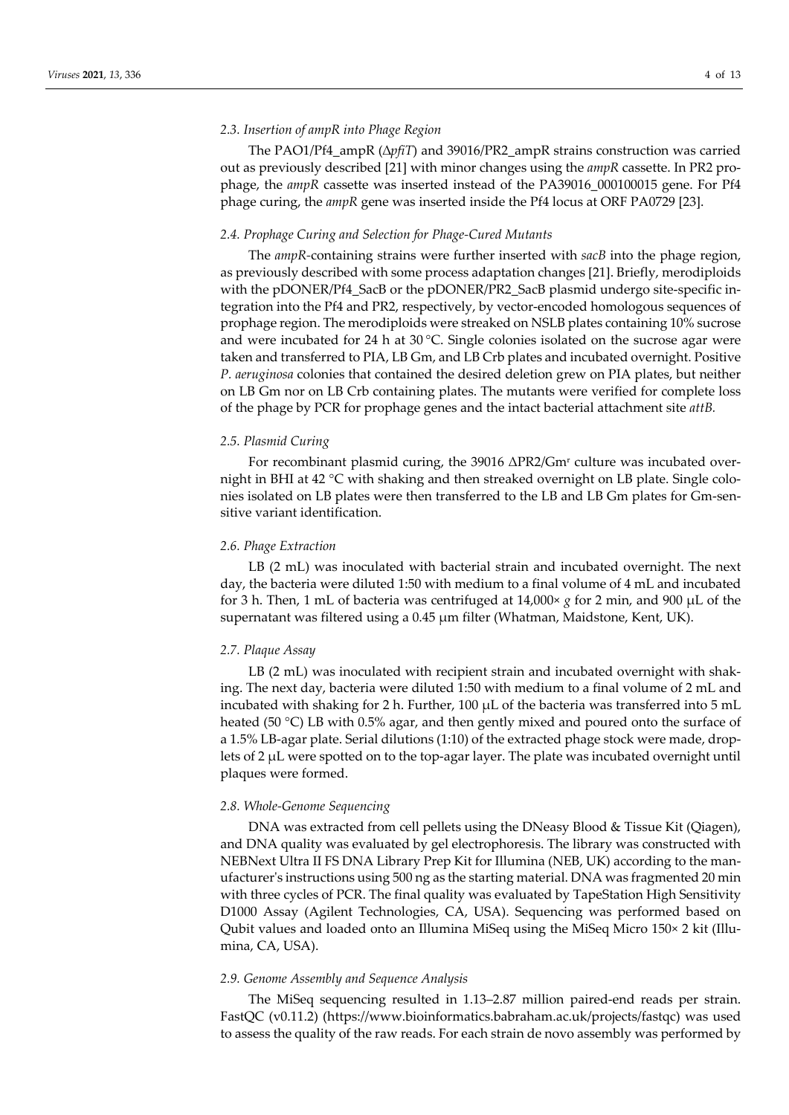## *2.3. Insertion of ampR into Phage Region*

The PAO1/Pf4\_ampR (∆*pfiT*) and 39016/PR2\_ampR strains construction was carried out as previously described [21] with minor changes using the *ampR* cassette. In PR2 prophage, the *ampR* cassette was inserted instead of the PA39016\_000100015 gene. For Pf4 phage curing, the *ampR* gene was inserted inside the Pf4 locus at ORF PA0729 [23].

#### *2.4. Prophage Curing and Selection for Phage-Cured Mutants*

The *ampR-*containing strains were further inserted with *sacB* into the phage region, as previously described with some process adaptation changes [21]. Briefly, merodiploids with the pDONER/Pf4\_SacB or the pDONER/PR2\_SacB plasmid undergo site-specific integration into the Pf4 and PR2, respectively, by vector-encoded homologous sequences of prophage region. The merodiploids were streaked on NSLB plates containing 10% sucrose and were incubated for 24 h at 30 °C. Single colonies isolated on the sucrose agar were taken and transferred to PIA, LB Gm, and LB Crb plates and incubated overnight. Positive *P. aeruginosa* colonies that contained the desired deletion grew on PIA plates, but neither on LB Gm nor on LB Crb containing plates. The mutants were verified for complete loss of the phage by PCR for prophage genes and the intact bacterial attachment site *attB.*

## *2.5. Plasmid Curing*

For recombinant plasmid curing, the 39016 ΔPR2/Gmr culture was incubated overnight in BHI at 42 °C with shaking and then streaked overnight on LB plate. Single colonies isolated on LB plates were then transferred to the LB and LB Gm plates for Gm-sensitive variant identification.

## *2.6. Phage Extraction*

LB (2 mL) was inoculated with bacterial strain and incubated overnight. The next day, the bacteria were diluted 1:50 with medium to a final volume of 4 mL and incubated for 3 h. Then, 1 mL of bacteria was centrifuged at 14,000× *g* for 2 min, and 900 μL of the supernatant was filtered using a 0.45 μm filter (Whatman, Maidstone, Kent, UK).

#### *2.7. Plaque Assay*

LB (2 mL) was inoculated with recipient strain and incubated overnight with shaking. The next day, bacteria were diluted 1:50 with medium to a final volume of 2 mL and incubated with shaking for 2 h. Further, 100  $\mu$ L of the bacteria was transferred into 5 mL heated (50 °C) LB with 0.5% agar, and then gently mixed and poured onto the surface of a 1.5% LB-agar plate. Serial dilutions (1:10) of the extracted phage stock were made, droplets of 2 μL were spotted on to the top-agar layer. The plate was incubated overnight until plaques were formed.

## *2.8. Whole-Genome Sequencing*

DNA was extracted from cell pellets using the DNeasy Blood & Tissue Kit (Qiagen), and DNA quality was evaluated by gel electrophoresis. The library was constructed with NEBNext Ultra II FS DNA Library Prep Kit for Illumina (NEB, UK) according to the manufacturer's instructions using 500 ng as the starting material. DNA was fragmented 20 min with three cycles of PCR. The final quality was evaluated by TapeStation High Sensitivity D1000 Assay (Agilent Technologies, CA, USA). Sequencing was performed based on Qubit values and loaded onto an Illumina MiSeq using the MiSeq Micro 150× 2 kit (Illumina, CA, USA).

## *2.9. Genome Assembly and Sequence Analysis*

The MiSeq sequencing resulted in 1.13–2.87 million paired-end reads per strain. FastQC (v0.11.2) (https://www.bioinformatics.babraham.ac.uk/projects/fastqc) was used to assess the quality of the raw reads. For each strain de novo assembly was performed by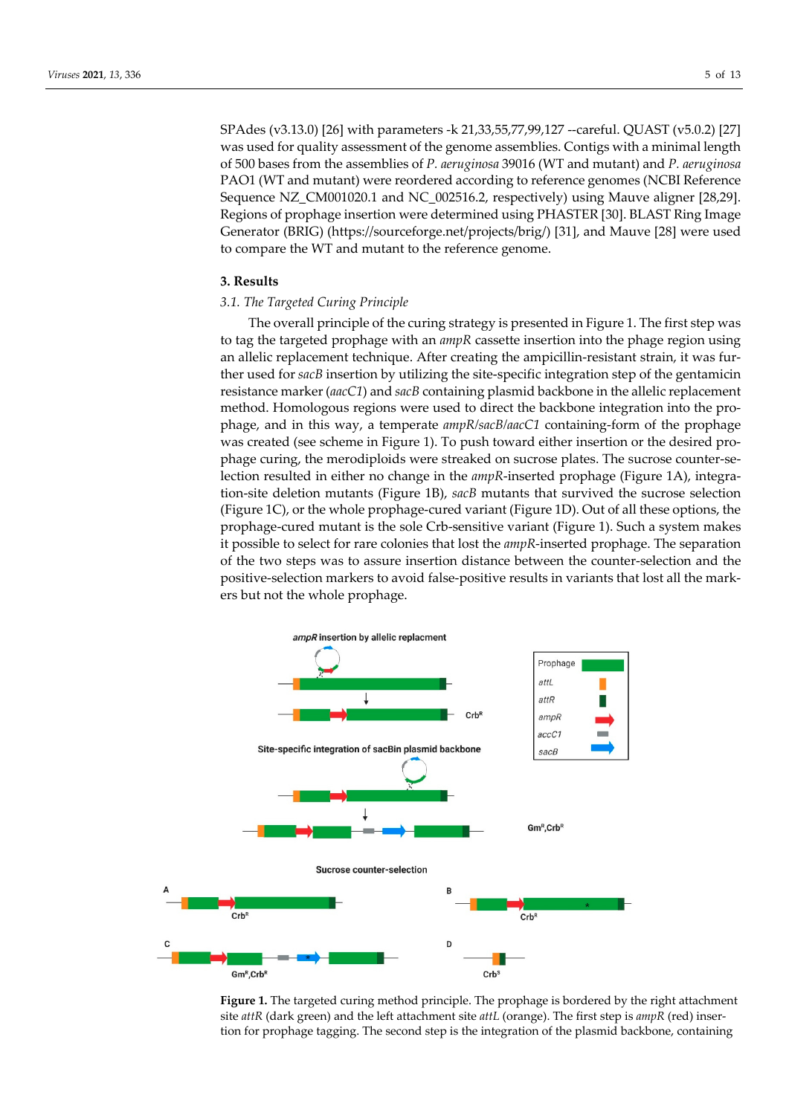SPAdes (v3.13.0) [26] with parameters -k 21,33,55,77,99,127 --careful. QUAST (v5.0.2) [27] was used for quality assessment of the genome assemblies. Contigs with a minimal length of 500 bases from the assemblies of *P. aeruginosa* 39016 (WT and mutant) and *P. aeruginosa* PAO1 (WT and mutant) were reordered according to reference genomes (NCBI Reference Sequence NZ\_CM001020.1 and NC\_002516.2, respectively) using Mauve aligner [28,29]. Regions of prophage insertion were determined using PHASTER [30]. BLAST Ring Image Generator (BRIG) (https://sourceforge.net/projects/brig/) [31], and Mauve [28] were used to compare the WT and mutant to the reference genome.

## **3. Results**

## *3.1. The Targeted Curing Principle*

The overall principle of the curing strategy is presented in Figure 1. The first step was to tag the targeted prophage with an *ampR* cassette insertion into the phage region using an allelic replacement technique. After creating the ampicillin-resistant strain, it was further used for *sacB* insertion by utilizing the site-specific integration step of the gentamicin resistance marker (*aacC1*) and *sacB* containing plasmid backbone in the allelic replacement method. Homologous regions were used to direct the backbone integration into the prophage, and in this way, a temperate *ampR/sacB/aacC1* containing-form of the prophage was created (see scheme in Figure 1). To push toward either insertion or the desired prophage curing, the merodiploids were streaked on sucrose plates. The sucrose counter-selection resulted in either no change in the *ampR*-inserted prophage (Figure 1A), integration-site deletion mutants (Figure 1B), *sacB* mutants that survived the sucrose selection (Figure 1C), or the whole prophage-cured variant (Figure 1D). Out of all these options, the prophage-cured mutant is the sole Crb-sensitive variant (Figure 1). Such a system makes it possible to select for rare colonies that lost the *ampR*-inserted prophage. The separation of the two steps was to assure insertion distance between the counter-selection and the positive-selection markers to avoid false-positive results in variants that lost all the markers but not the whole prophage.



**Figure 1.** The targeted curing method principle. The prophage is bordered by the right attachment site *attR* (dark green) and the left attachment site *attL* (orange). The first step is *ampR* (red) insertion for prophage tagging. The second step is the integration of the plasmid backbone, containing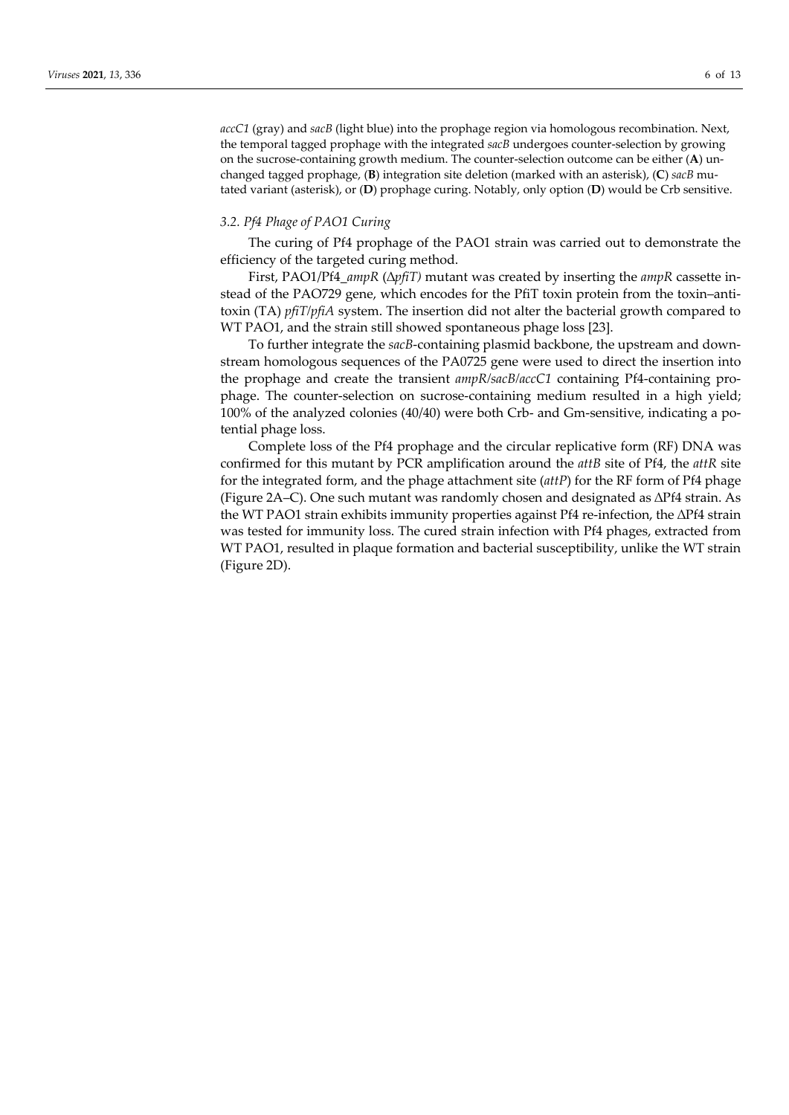*accC1* (gray) and *sacB* (light blue) into the prophage region via homologous recombination. Next, the temporal tagged prophage with the integrated *sacB* undergoes counter-selection by growing on the sucrose-containing growth medium. The counter-selection outcome can be either (**A**) unchanged tagged prophage, (**B**) integration site deletion (marked with an asterisk), (**C**) *sacB* mutated variant (asterisk), or (**D**) prophage curing. Notably, only option (**D**) would be Crb sensitive.

## *3.2. Pf4 Phage of PAO1 Curing*

The curing of Pf4 prophage of the PAO1 strain was carried out to demonstrate the efficiency of the targeted curing method.

First, PAO1/Pf4\_*ampR* (∆*pfiT)* mutant was created by inserting the *ampR* cassette instead of the PAO729 gene, which encodes for the PfiT toxin protein from the toxin–antitoxin (TA) *pfiT/pfiA* system. The insertion did not alter the bacterial growth compared to WT PAO1, and the strain still showed spontaneous phage loss [23].

To further integrate the *sacB*-containing plasmid backbone, the upstream and downstream homologous sequences of the PA0725 gene were used to direct the insertion into the prophage and create the transient *ampR/sacB/accC1* containing Pf4-containing prophage. The counter-selection on sucrose-containing medium resulted in a high yield; 100% of the analyzed colonies (40/40) were both Crb- and Gm-sensitive, indicating a potential phage loss.

Complete loss of the Pf4 prophage and the circular replicative form (RF) DNA was confirmed for this mutant by PCR amplification around the *attB* site of Pf4, the *attR* site for the integrated form, and the phage attachment site (*attP*) for the RF form of Pf4 phage (Figure 2A–C). One such mutant was randomly chosen and designated as ∆Pf4 strain. As the WT PAO1 strain exhibits immunity properties against Pf4 re-infection, the ∆Pf4 strain was tested for immunity loss. The cured strain infection with Pf4 phages, extracted from WT PAO1, resulted in plaque formation and bacterial susceptibility, unlike the WT strain (Figure 2D).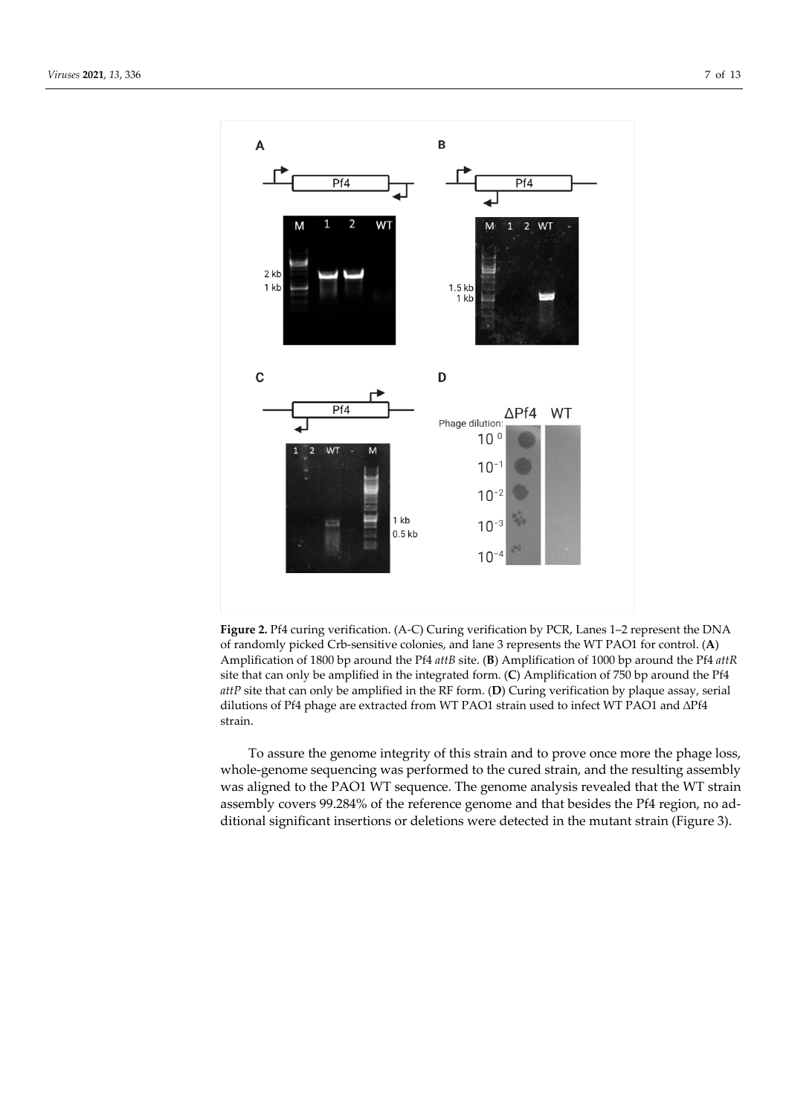

**Figure 2.** Pf4 curing verification. (A-C) Curing verification by PCR, Lanes 1–2 represent the DNA of randomly picked Crb-sensitive colonies, and lane 3 represents the WT PAO1 for control. (**A**) Amplification of 1800 bp around the Pf4 *attB* site. (**B**) Amplification of 1000 bp around the Pf4 *attR*  site that can only be amplified in the integrated form. (**C**) Amplification of 750 bp around the Pf4 *attP* site that can only be amplified in the RF form. (**D**) Curing verification by plaque assay, serial dilutions of Pf4 phage are extracted from WT PAO1 strain used to infect WT PAO1 and ∆Pf4 strain.

To assure the genome integrity of this strain and to prove once more the phage loss, whole-genome sequencing was performed to the cured strain, and the resulting assembly was aligned to the PAO1 WT sequence. The genome analysis revealed that the WT strain assembly covers 99.284% of the reference genome and that besides the Pf4 region, no additional significant insertions or deletions were detected in the mutant strain (Figure 3).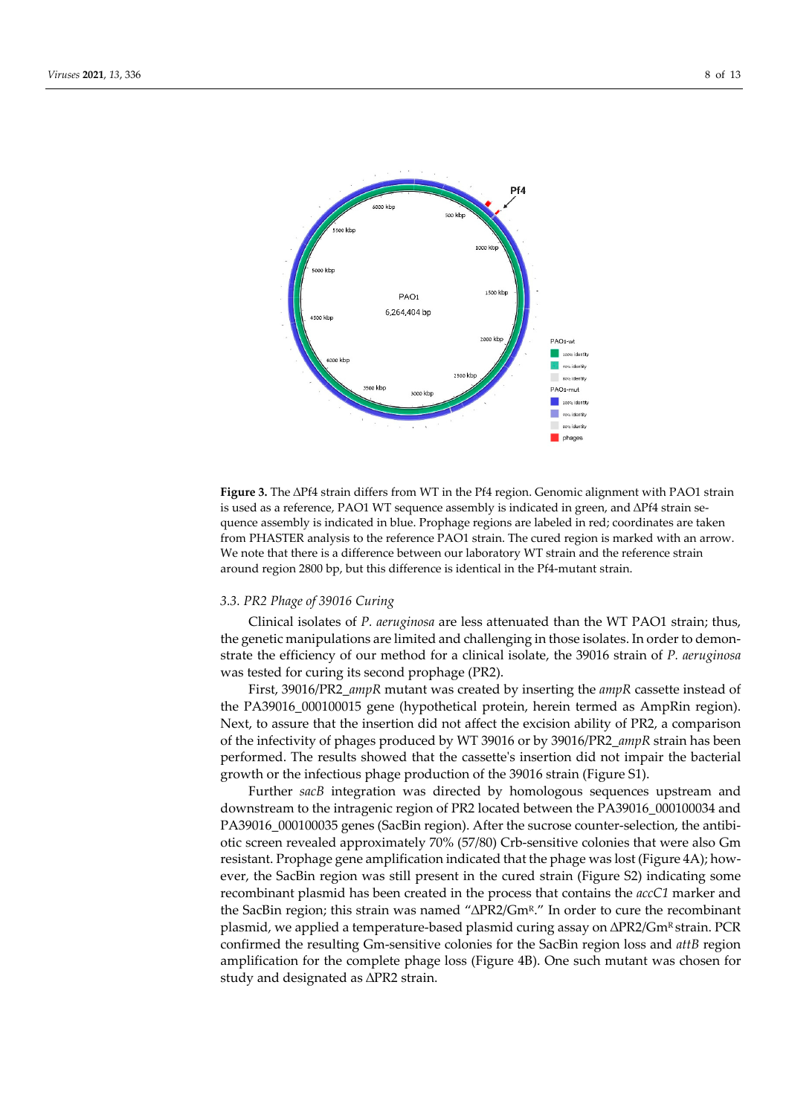

**Figure 3.** The ∆Pf4 strain differs from WT in the Pf4 region. Genomic alignment with PAO1 strain is used as a reference, PAO1 WT sequence assembly is indicated in green, and ∆Pf4 strain sequence assembly is indicated in blue. Prophage regions are labeled in red; coordinates are taken from PHASTER analysis to the reference PAO1 strain. The cured region is marked with an arrow. We note that there is a difference between our laboratory WT strain and the reference strain around region 2800 bp, but this difference is identical in the Pf4-mutant strain.

## *3.3. PR2 Phage of 39016 Curing*

Clinical isolates of *P. aeruginosa* are less attenuated than the WT PAO1 strain; thus, the genetic manipulations are limited and challenging in those isolates. In order to demonstrate the efficiency of our method for a clinical isolate, the 39016 strain of *P. aeruginosa* was tested for curing its second prophage (PR2).

First, 39016/PR2\_*ampR* mutant was created by inserting the *ampR* cassette instead of the PA39016\_000100015 gene (hypothetical protein, herein termed as AmpRin region). Next, to assure that the insertion did not affect the excision ability of PR2, a comparison of the infectivity of phages produced by WT 39016 or by 39016/PR2\_*ampR* strain has been performed. The results showed that the cassette's insertion did not impair the bacterial growth or the infectious phage production of the 39016 strain (Figure S1).

Further *sacB* integration was directed by homologous sequences upstream and downstream to the intragenic region of PR2 located between the PA39016\_000100034 and PA39016\_000100035 genes (SacBin region). After the sucrose counter-selection, the antibiotic screen revealed approximately 70% (57/80) Crb-sensitive colonies that were also Gm resistant. Prophage gene amplification indicated that the phage was lost (Figure 4A); however, the SacBin region was still present in the cured strain (Figure S2) indicating some recombinant plasmid has been created in the process that contains the *accC1* marker and the SacBin region; this strain was named "∆PR2/GmR." In order to cure the recombinant plasmid, we applied a temperature-based plasmid curing assay on ΔPR2/Gm<sup>R</sup> strain. PCR confirmed the resulting Gm-sensitive colonies for the SacBin region loss and *attB* region amplification for the complete phage loss (Figure 4B). One such mutant was chosen for study and designated as ∆PR2 strain.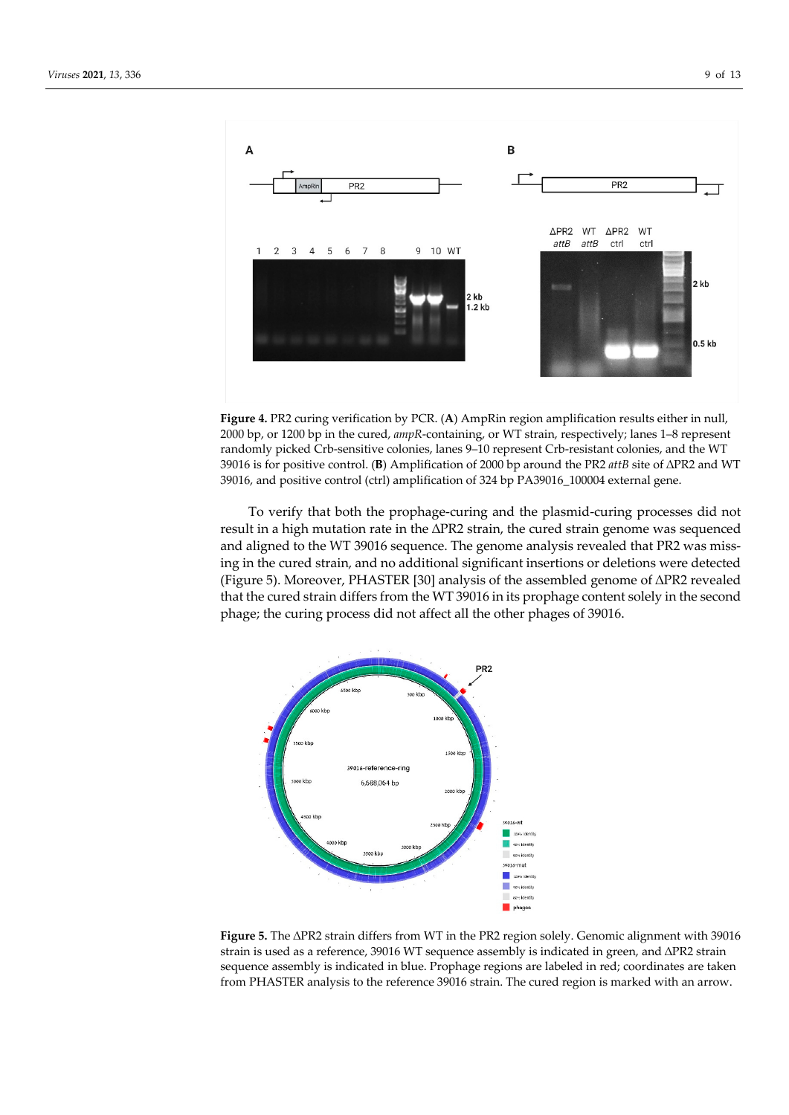

**Figure 4.** PR2 curing verification by PCR. (**A**) AmpRin region amplification results either in null, 2000 bp, or 1200 bp in the cured, *ampR*-containing, or WT strain, respectively; lanes 1–8 represent randomly picked Crb-sensitive colonies, lanes 9–10 represent Crb-resistant colonies, and the WT 39016 is for positive control. (**B**) Amplification of 2000 bp around the PR2 *attB* site of ∆PR2 and WT 39016, and positive control (ctrl) amplification of 324 bp PA39016\_100004 external gene.

To verify that both the prophage-curing and the plasmid-curing processes did not result in a high mutation rate in the ∆PR2 strain, the cured strain genome was sequenced and aligned to the WT 39016 sequence. The genome analysis revealed that PR2 was missing in the cured strain, and no additional significant insertions or deletions were detected (Figure 5). Moreover, PHASTER [30] analysis of the assembled genome of ∆PR2 revealed that the cured strain differs from the WT 39016 in its prophage content solely in the second phage; the curing process did not affect all the other phages of 39016.



**Figure 5.** The ∆PR2 strain differs from WT in the PR2 region solely. Genomic alignment with 39016 strain is used as a reference, 39016 WT sequence assembly is indicated in green, and ∆PR2 strain sequence assembly is indicated in blue. Prophage regions are labeled in red; coordinates are taken from PHASTER analysis to the reference 39016 strain. The cured region is marked with an arrow.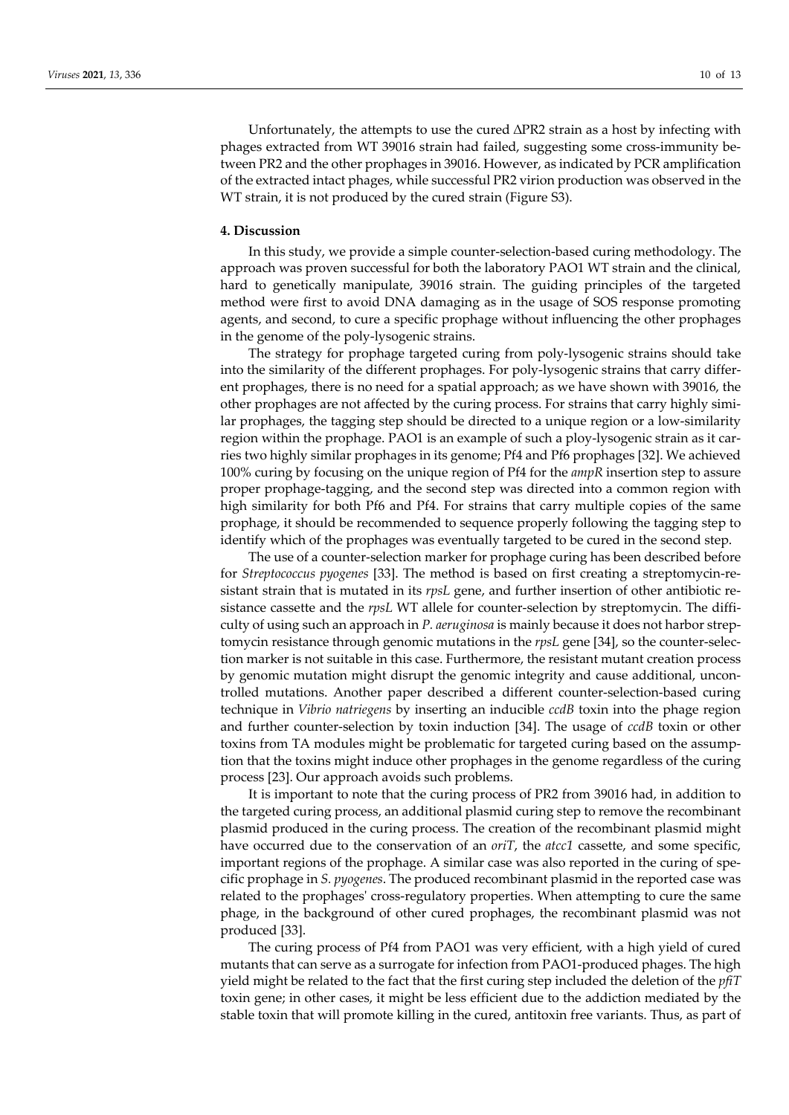Unfortunately, the attempts to use the cured  $\Delta PR2$  strain as a host by infecting with phages extracted from WT 39016 strain had failed, suggesting some cross-immunity between PR2 and the other prophages in 39016. However, as indicated by PCR amplification of the extracted intact phages, while successful PR2 virion production was observed in the WT strain, it is not produced by the cured strain (Figure S3).

## **4. Discussion**

In this study, we provide a simple counter-selection-based curing methodology. The approach was proven successful for both the laboratory PAO1 WT strain and the clinical, hard to genetically manipulate, 39016 strain. The guiding principles of the targeted method were first to avoid DNA damaging as in the usage of SOS response promoting agents, and second, to cure a specific prophage without influencing the other prophages in the genome of the poly-lysogenic strains.

The strategy for prophage targeted curing from poly-lysogenic strains should take into the similarity of the different prophages. For poly-lysogenic strains that carry different prophages, there is no need for a spatial approach; as we have shown with 39016, the other prophages are not affected by the curing process. For strains that carry highly similar prophages, the tagging step should be directed to a unique region or a low-similarity region within the prophage. PAO1 is an example of such a ploy-lysogenic strain as it carries two highly similar prophages in its genome; Pf4 and Pf6 prophages [32]. We achieved 100% curing by focusing on the unique region of Pf4 for the *ampR* insertion step to assure proper prophage-tagging, and the second step was directed into a common region with high similarity for both Pf6 and Pf4. For strains that carry multiple copies of the same prophage, it should be recommended to sequence properly following the tagging step to identify which of the prophages was eventually targeted to be cured in the second step.

The use of a counter-selection marker for prophage curing has been described before for *Streptococcus pyogenes* [33]. The method is based on first creating a streptomycin-resistant strain that is mutated in its *rpsL* gene, and further insertion of other antibiotic resistance cassette and the *rpsL* WT allele for counter-selection by streptomycin. The difficulty of using such an approach in *P. aeruginosa* is mainly because it does not harbor streptomycin resistance through genomic mutations in the *rpsL* gene [34], so the counter-selection marker is not suitable in this case. Furthermore, the resistant mutant creation process by genomic mutation might disrupt the genomic integrity and cause additional, uncontrolled mutations. Another paper described a different counter-selection-based curing technique in *Vibrio natriegens* by inserting an inducible *ccdB* toxin into the phage region and further counter-selection by toxin induction [34]. The usage of *ccdB* toxin or other toxins from TA modules might be problematic for targeted curing based on the assumption that the toxins might induce other prophages in the genome regardless of the curing process [23]. Our approach avoids such problems.

It is important to note that the curing process of PR2 from 39016 had, in addition to the targeted curing process, an additional plasmid curing step to remove the recombinant plasmid produced in the curing process. The creation of the recombinant plasmid might have occurred due to the conservation of an *oriT*, the *atcc1* cassette, and some specific, important regions of the prophage. A similar case was also reported in the curing of specific prophage in *S. pyogenes*. The produced recombinant plasmid in the reported case was related to the prophages' cross-regulatory properties. When attempting to cure the same phage, in the background of other cured prophages, the recombinant plasmid was not produced [33].

The curing process of Pf4 from PAO1 was very efficient, with a high yield of cured mutants that can serve as a surrogate for infection from PAO1-produced phages. The high yield might be related to the fact that the first curing step included the deletion of the *pfiT*  toxin gene; in other cases, it might be less efficient due to the addiction mediated by the stable toxin that will promote killing in the cured, antitoxin free variants. Thus, as part of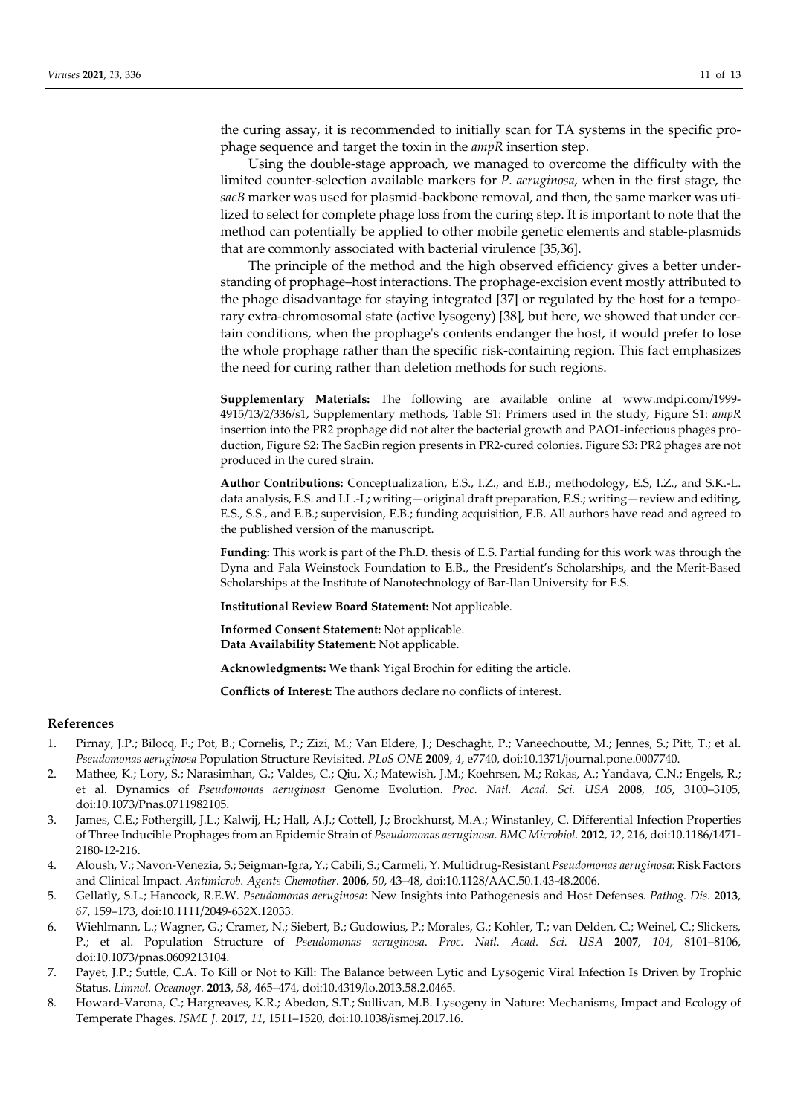the curing assay, it is recommended to initially scan for TA systems in the specific prophage sequence and target the toxin in the *ampR* insertion step.

Using the double-stage approach, we managed to overcome the difficulty with the limited counter-selection available markers for *P. aeruginosa*, when in the first stage, the *sacB* marker was used for plasmid-backbone removal, and then, the same marker was utilized to select for complete phage loss from the curing step. It is important to note that the method can potentially be applied to other mobile genetic elements and stable-plasmids that are commonly associated with bacterial virulence [35,36].

The principle of the method and the high observed efficiency gives a better understanding of prophage–host interactions. The prophage-excision event mostly attributed to the phage disadvantage for staying integrated [37] or regulated by the host for a temporary extra-chromosomal state (active lysogeny) [38], but here, we showed that under certain conditions, when the prophage's contents endanger the host, it would prefer to lose the whole prophage rather than the specific risk-containing region. This fact emphasizes the need for curing rather than deletion methods for such regions.

**Supplementary Materials:** The following are available online at www.mdpi.com/1999- 4915/13/2/336/s1, Supplementary methods, Table S1: Primers used in the study, Figure S1: *ampR* insertion into the PR2 prophage did not alter the bacterial growth and PAO1-infectious phages production, Figure S2: The SacBin region presents in PR2-cured colonies. Figure S3: PR2 phages are not produced in the cured strain.

**Author Contributions:** Conceptualization, E.S., I.Z., and E.B.; methodology, E.S, I.Z., and S.K.-L. data analysis, E.S. and I.L.-L; writing—original draft preparation, E.S.; writing—review and editing, E.S., S.S., and E.B.; supervision, E.B.; funding acquisition, E.B. All authors have read and agreed to the published version of the manuscript.

**Funding:** This work is part of the Ph.D. thesis of E.S. Partial funding for this work was through the Dyna and Fala Weinstock Foundation to E.B., the President's Scholarships, and the Merit-Based Scholarships at the Institute of Nanotechnology of Bar-Ilan University for E.S.

**Institutional Review Board Statement:** Not applicable.

**Informed Consent Statement:** Not applicable. **Data Availability Statement:** Not applicable.

**Acknowledgments:** We thank Yigal Brochin for editing the article.

**Conflicts of Interest:** The authors declare no conflicts of interest.

#### **References**

- 1. Pirnay, J.P.; Bilocq, F.; Pot, B.; Cornelis, P.; Zizi, M.; Van Eldere, J.; Deschaght, P.; Vaneechoutte, M.; Jennes, S.; Pitt, T.; et al. *Pseudomonas aeruginosa* Population Structure Revisited. *PLoS ONE* **2009**, *4*, e7740, doi:10.1371/journal.pone.0007740.
- 2. Mathee, K.; Lory, S.; Narasimhan, G.; Valdes, C.; Qiu, X.; Matewish, J.M.; Koehrsen, M.; Rokas, A.; Yandava, C.N.; Engels, R.; et al. Dynamics of *Pseudomonas aeruginosa* Genome Evolution. *Proc. Natl. Acad. Sci. USA* **2008**, *105*, 3100–3105, doi:10.1073/Pnas.0711982105.
- 3. James, C.E.; Fothergill, J.L.; Kalwij, H.; Hall, A.J.; Cottell, J.; Brockhurst, M.A.; Winstanley, C. Differential Infection Properties of Three Inducible Prophages from an Epidemic Strain of *Pseudomonas aeruginosa*. *BMC Microbiol.* **2012**, *12*, 216, doi:10.1186/1471- 2180-12-216.
- 4. Aloush, V.; Navon-Venezia, S.; Seigman-Igra, Y.; Cabili, S.; Carmeli, Y. Multidrug-Resistant *Pseudomonas aeruginosa*: Risk Factors and Clinical Impact. *Antimicrob. Agents Chemother.* **2006**, *50*, 43–48, doi:10.1128/AAC.50.1.43-48.2006.
- 5. Gellatly, S.L.; Hancock, R.E.W. *Pseudomonas aeruginosa*: New Insights into Pathogenesis and Host Defenses. *Pathog. Dis.* **2013**, *67*, 159–173, doi:10.1111/2049-632X.12033.
- 6. Wiehlmann, L.; Wagner, G.; Cramer, N.; Siebert, B.; Gudowius, P.; Morales, G.; Kohler, T.; van Delden, C.; Weinel, C.; Slickers, P.; et al. Population Structure of *Pseudomonas aeruginosa*. *Proc. Natl. Acad. Sci. USA* **2007**, *104*, 8101–8106, doi:10.1073/pnas.0609213104.
- 7. Payet, J.P.; Suttle, C.A. To Kill or Not to Kill: The Balance between Lytic and Lysogenic Viral Infection Is Driven by Trophic Status. *Limnol. Oceanogr.* **2013**, *58*, 465–474, doi:10.4319/lo.2013.58.2.0465.
- 8. Howard-Varona, C.; Hargreaves, K.R.; Abedon, S.T.; Sullivan, M.B. Lysogeny in Nature: Mechanisms, Impact and Ecology of Temperate Phages. *ISME J.* **2017**, *11*, 1511–1520, doi:10.1038/ismej.2017.16.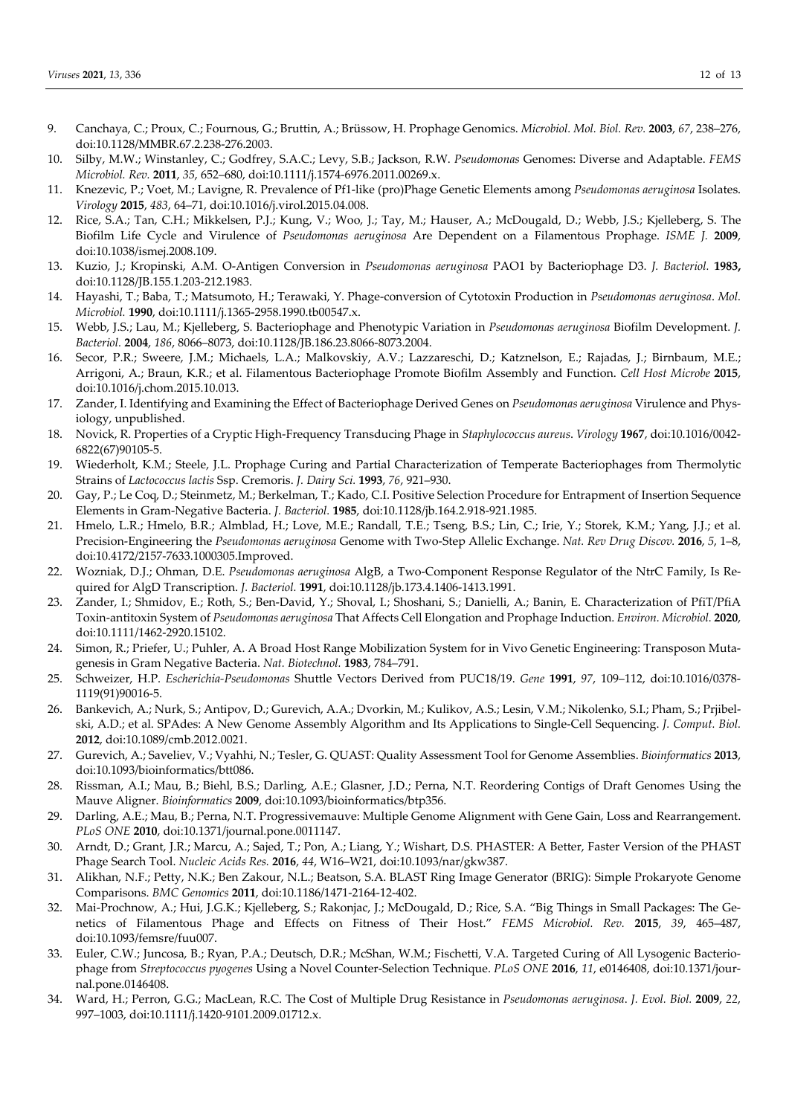- 9. Canchaya, C.; Proux, C.; Fournous, G.; Bruttin, A.; Brüssow, H. Prophage Genomics. *Microbiol. Mol. Biol. Rev.* **2003**, *67*, 238–276, doi:10.1128/MMBR.67.2.238-276.2003.
- 10. Silby, M.W.; Winstanley, C.; Godfrey, S.A.C.; Levy, S.B.; Jackson, R.W. *Pseudomonas* Genomes: Diverse and Adaptable. *FEMS Microbiol. Rev.* **2011**, *35*, 652–680, doi:10.1111/j.1574-6976.2011.00269.x.
- 11. Knezevic, P.; Voet, M.; Lavigne, R. Prevalence of Pf1-like (pro)Phage Genetic Elements among *Pseudomonas aeruginosa* Isolates. *Virology* **2015**, *483*, 64–71, doi:10.1016/j.virol.2015.04.008.
- 12. Rice, S.A.; Tan, C.H.; Mikkelsen, P.J.; Kung, V.; Woo, J.; Tay, M.; Hauser, A.; McDougald, D.; Webb, J.S.; Kjelleberg, S. The Biofilm Life Cycle and Virulence of *Pseudomonas aeruginosa* Are Dependent on a Filamentous Prophage. *ISME J.* **2009**, doi:10.1038/ismej.2008.109.
- 13. Kuzio, J.; Kropinski, A.M. O-Antigen Conversion in *Pseudomonas aeruginosa* PAO1 by Bacteriophage D3. *J. Bacteriol.* **1983,**  doi:10.1128/JB.155.1.203-212.1983.
- 14. Hayashi, T.; Baba, T.; Matsumoto, H.; Terawaki, Y. Phage-conversion of Cytotoxin Production in *Pseudomonas aeruginosa*. *Mol. Microbiol.* **1990**, doi:10.1111/j.1365-2958.1990.tb00547.x.
- 15. Webb, J.S.; Lau, M.; Kjelleberg, S. Bacteriophage and Phenotypic Variation in *Pseudomonas aeruginosa* Biofilm Development. *J. Bacteriol.* **2004**, *186*, 8066–8073, doi:10.1128/JB.186.23.8066-8073.2004.
- 16. Secor, P.R.; Sweere, J.M.; Michaels, L.A.; Malkovskiy, A.V.; Lazzareschi, D.; Katznelson, E.; Rajadas, J.; Birnbaum, M.E.; Arrigoni, A.; Braun, K.R.; et al. Filamentous Bacteriophage Promote Biofilm Assembly and Function. *Cell Host Microbe* **2015**, doi:10.1016/j.chom.2015.10.013.
- 17. Zander, I. Identifying and Examining the Effect of Bacteriophage Derived Genes on *Pseudomonas aeruginosa* Virulence and Physiology, unpublished.
- 18. Novick, R. Properties of a Cryptic High-Frequency Transducing Phage in *Staphylococcus aureus*. *Virology* **1967**, doi:10.1016/0042- 6822(67)90105-5.
- 19. Wiederholt, K.M.; Steele, J.L. Prophage Curing and Partial Characterization of Temperate Bacteriophages from Thermolytic Strains of *Lactococcus lactis* Ssp. Cremoris. *J. Dairy Sci.* **1993**, *76*, 921–930.
- 20. Gay, P.; Le Coq, D.; Steinmetz, M.; Berkelman, T.; Kado, C.I. Positive Selection Procedure for Entrapment of Insertion Sequence Elements in Gram-Negative Bacteria. *J. Bacteriol.* **1985**, doi:10.1128/jb.164.2.918-921.1985.
- 21. Hmelo, L.R.; Hmelo, B.R.; Almblad, H.; Love, M.E.; Randall, T.E.; Tseng, B.S.; Lin, C.; Irie, Y.; Storek, K.M.; Yang, J.J.; et al. Precision-Engineering the *Pseudomonas aeruginosa* Genome with Two-Step Allelic Exchange. *Nat. Rev Drug Discov.* **2016**, *5*, 1–8, doi:10.4172/2157-7633.1000305.Improved.
- 22. Wozniak, D.J.; Ohman, D.E. *Pseudomonas aeruginosa* AlgB, a Two-Component Response Regulator of the NtrC Family, Is Required for AlgD Transcription. *J. Bacteriol.* **1991**, doi:10.1128/jb.173.4.1406-1413.1991.
- 23. Zander, I.; Shmidov, E.; Roth, S.; Ben-David, Y.; Shoval, I.; Shoshani, S.; Danielli, A.; Banin, E. Characterization of PfiT/PfiA Toxin-antitoxin System of *Pseudomonas aeruginosa* That Affects Cell Elongation and Prophage Induction. *Environ. Microbiol.* **2020**, doi:10.1111/1462-2920.15102.
- 24. Simon, R.; Priefer, U.; Puhler, A. A Broad Host Range Mobilization System for in Vivo Genetic Engineering: Transposon Mutagenesis in Gram Negative Bacteria. *Nat. Biotechnol.* **1983**, 784–791.
- 25. Schweizer, H.P. *Escherichia-Pseudomonas* Shuttle Vectors Derived from PUC18/19. *Gene* **1991**, *97*, 109–112, doi:10.1016/0378- 1119(91)90016-5.
- 26. Bankevich, A.; Nurk, S.; Antipov, D.; Gurevich, A.A.; Dvorkin, M.; Kulikov, A.S.; Lesin, V.M.; Nikolenko, S.I.; Pham, S.; Prjibelski, A.D.; et al. SPAdes: A New Genome Assembly Algorithm and Its Applications to Single-Cell Sequencing. *J. Comput. Biol.* **2012**, doi:10.1089/cmb.2012.0021.
- 27. Gurevich, A.; Saveliev, V.; Vyahhi, N.; Tesler, G. QUAST: Quality Assessment Tool for Genome Assemblies. *Bioinformatics* **2013**, doi:10.1093/bioinformatics/btt086.
- 28. Rissman, A.I.; Mau, B.; Biehl, B.S.; Darling, A.E.; Glasner, J.D.; Perna, N.T. Reordering Contigs of Draft Genomes Using the Mauve Aligner. *Bioinformatics* **2009**, doi:10.1093/bioinformatics/btp356.
- 29. Darling, A.E.; Mau, B.; Perna, N.T. Progressivemauve: Multiple Genome Alignment with Gene Gain, Loss and Rearrangement. *PLoS ONE* **2010**, doi:10.1371/journal.pone.0011147.
- 30. Arndt, D.; Grant, J.R.; Marcu, A.; Sajed, T.; Pon, A.; Liang, Y.; Wishart, D.S. PHASTER: A Better, Faster Version of the PHAST Phage Search Tool. *Nucleic Acids Res.* **2016**, *44*, W16–W21, doi:10.1093/nar/gkw387.
- 31. Alikhan, N.F.; Petty, N.K.; Ben Zakour, N.L.; Beatson, S.A. BLAST Ring Image Generator (BRIG): Simple Prokaryote Genome Comparisons. *BMC Genomics* **2011**, doi:10.1186/1471-2164-12-402.
- 32. Mai-Prochnow, A.; Hui, J.G.K.; Kjelleberg, S.; Rakonjac, J.; McDougald, D.; Rice, S.A. "Big Things in Small Packages: The Genetics of Filamentous Phage and Effects on Fitness of Their Host." *FEMS Microbiol. Rev.* **2015**, *39*, 465–487, doi:10.1093/femsre/fuu007.
- 33. Euler, C.W.; Juncosa, B.; Ryan, P.A.; Deutsch, D.R.; McShan, W.M.; Fischetti, V.A. Targeted Curing of All Lysogenic Bacteriophage from *Streptococcus pyogenes* Using a Novel Counter-Selection Technique. *PLoS ONE* **2016**, *11*, e0146408, doi:10.1371/journal.pone.0146408.
- 34. Ward, H.; Perron, G.G.; MacLean, R.C. The Cost of Multiple Drug Resistance in *Pseudomonas aeruginosa*. *J. Evol. Biol.* **2009**, *22*, 997–1003, doi:10.1111/j.1420-9101.2009.01712.x.